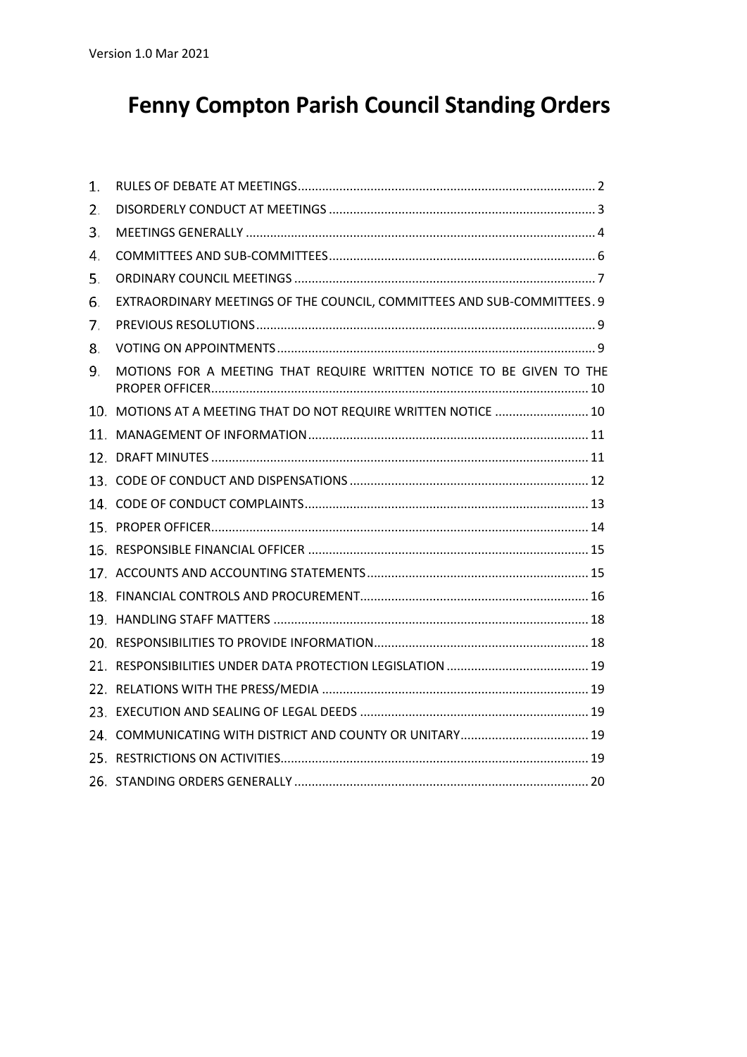# **Fenny Compton Parish Council Standing Orders**

| 1. |                                                                         |
|----|-------------------------------------------------------------------------|
| 2. |                                                                         |
| 3. |                                                                         |
| 4. |                                                                         |
| 5. |                                                                         |
| 6. | EXTRAORDINARY MEETINGS OF THE COUNCIL, COMMITTEES AND SUB-COMMITTEES. 9 |
| 7. |                                                                         |
| 8. |                                                                         |
| 9. | MOTIONS FOR A MEETING THAT REQUIRE WRITTEN NOTICE TO BE GIVEN TO THE    |
|    | 10. MOTIONS AT A MEETING THAT DO NOT REQUIRE WRITTEN NOTICE  10         |
|    |                                                                         |
|    |                                                                         |
|    |                                                                         |
|    |                                                                         |
|    |                                                                         |
|    |                                                                         |
|    |                                                                         |
|    |                                                                         |
|    |                                                                         |
|    |                                                                         |
|    |                                                                         |
|    |                                                                         |
|    |                                                                         |
|    |                                                                         |
|    |                                                                         |
|    |                                                                         |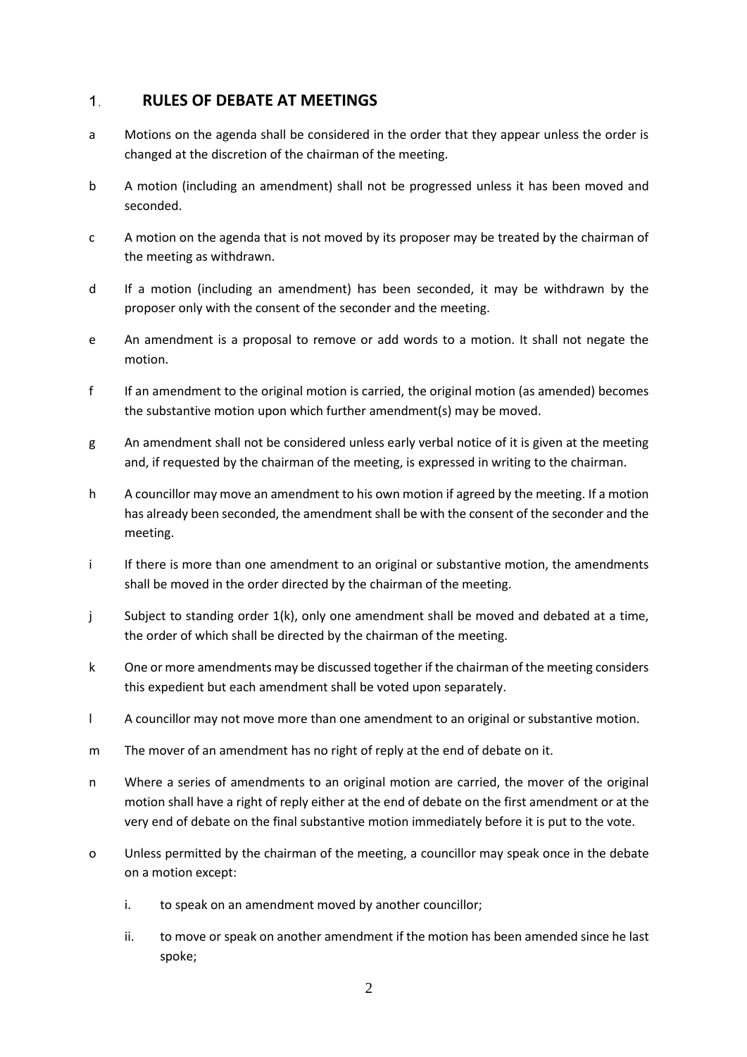## **RULES OF DEBATE AT MEETINGS**  $1.$

- a Motions on the agenda shall be considered in the order that they appear unless the order is changed at the discretion of the chairman of the meeting.
- b A motion (including an amendment) shall not be progressed unless it has been moved and seconded.
- c A motion on the agenda that is not moved by its proposer may be treated by the chairman of the meeting as withdrawn.
- d If a motion (including an amendment) has been seconded, it may be withdrawn by the proposer only with the consent of the seconder and the meeting.
- e An amendment is a proposal to remove or add words to a motion. It shall not negate the motion.
- f If an amendment to the original motion is carried, the original motion (as amended) becomes the substantive motion upon which further amendment(s) may be moved.
- g An amendment shall not be considered unless early verbal notice of it is given at the meeting and, if requested by the chairman of the meeting, is expressed in writing to the chairman.
- h A councillor may move an amendment to his own motion if agreed by the meeting. If a motion has already been seconded, the amendment shall be with the consent of the seconder and the meeting.
- i If there is more than one amendment to an original or substantive motion, the amendments shall be moved in the order directed by the chairman of the meeting.
- j Subject to standing order 1(k), only one amendment shall be moved and debated at a time, the order of which shall be directed by the chairman of the meeting.
- k One or more amendments may be discussed together if the chairman of the meeting considers this expedient but each amendment shall be voted upon separately.
- l A councillor may not move more than one amendment to an original or substantive motion.
- m The mover of an amendment has no right of reply at the end of debate on it.
- n Where a series of amendments to an original motion are carried, the mover of the original motion shall have a right of reply either at the end of debate on the first amendment or at the very end of debate on the final substantive motion immediately before it is put to the vote.
- o Unless permitted by the chairman of the meeting, a councillor may speak once in the debate on a motion except:
	- i. to speak on an amendment moved by another councillor;
	- ii. to move or speak on another amendment if the motion has been amended since he last spoke;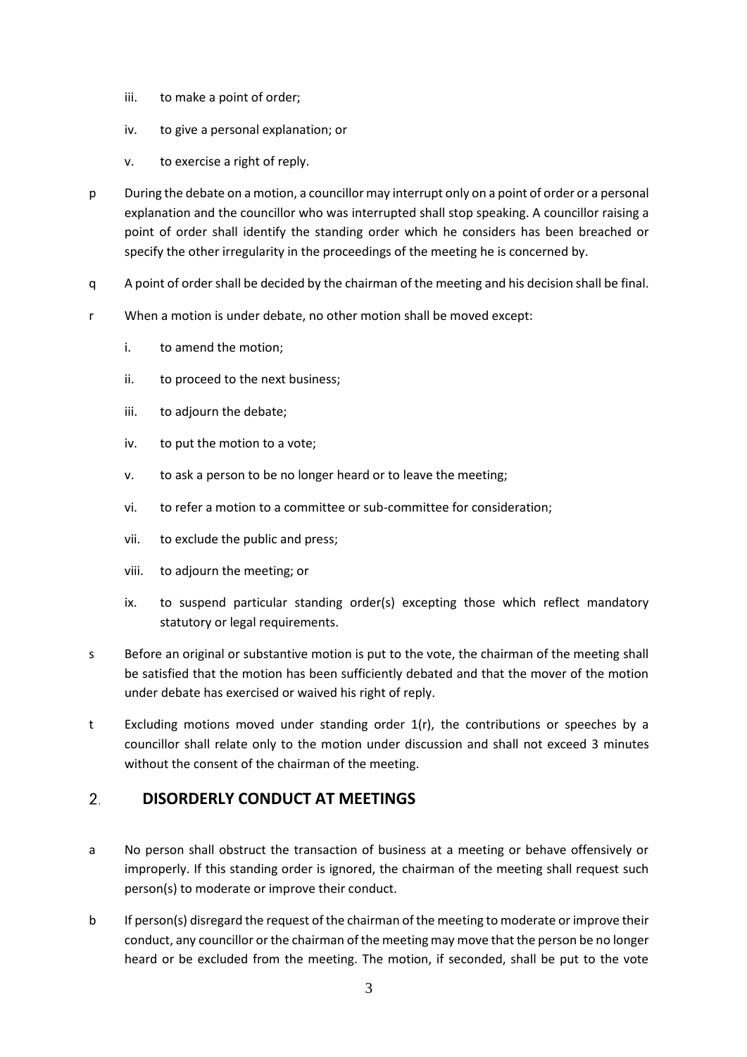- iii. to make a point of order;
- iv. to give a personal explanation; or
- v. to exercise a right of reply.
- p During the debate on a motion, a councillor may interrupt only on a point of order or a personal explanation and the councillor who was interrupted shall stop speaking. A councillor raising a point of order shall identify the standing order which he considers has been breached or specify the other irregularity in the proceedings of the meeting he is concerned by.
- q A point of order shall be decided by the chairman of the meeting and his decision shall be final.
- r When a motion is under debate, no other motion shall be moved except:
	- i. to amend the motion;
	- ii. to proceed to the next business;
	- iii. to adjourn the debate;
	- iv. to put the motion to a vote;
	- v. to ask a person to be no longer heard or to leave the meeting;
	- vi. to refer a motion to a committee or sub-committee for consideration;
	- vii. to exclude the public and press;
	- viii. to adjourn the meeting; or
	- ix. to suspend particular standing order(s) excepting those which reflect mandatory statutory or legal requirements.
- s Before an original or substantive motion is put to the vote, the chairman of the meeting shall be satisfied that the motion has been sufficiently debated and that the mover of the motion under debate has exercised or waived his right of reply.
- t Excluding motions moved under standing order 1(r), the contributions or speeches by a councillor shall relate only to the motion under discussion and shall not exceed 3 minutes without the consent of the chairman of the meeting.

#### $2.$ **DISORDERLY CONDUCT AT MEETINGS**

- a No person shall obstruct the transaction of business at a meeting or behave offensively or improperly. If this standing order is ignored, the chairman of the meeting shall request such person(s) to moderate or improve their conduct.
- b If person(s) disregard the request of the chairman of the meeting to moderate or improve their conduct, any councillor or the chairman of the meeting may move that the person be no longer heard or be excluded from the meeting. The motion, if seconded, shall be put to the vote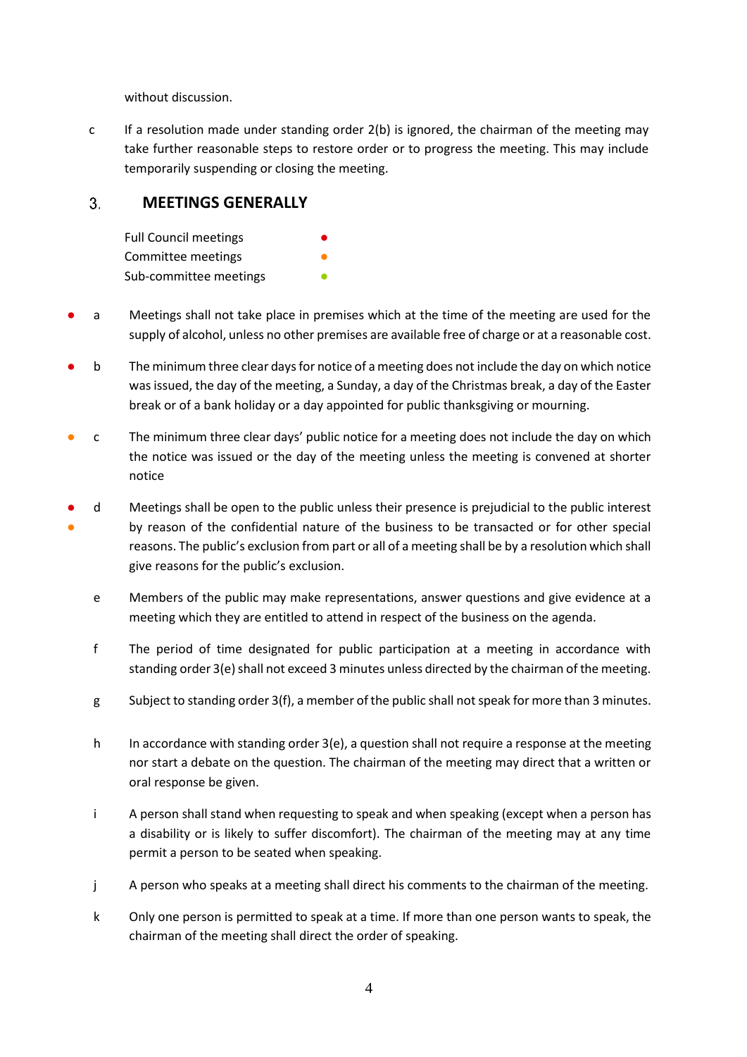without discussion.

c If a resolution made under standing order 2(b) is ignored, the chairman of the meeting may take further reasonable steps to restore order or to progress the meeting. This may include temporarily suspending or closing the meeting.

## 3. **MEETINGS GENERALLY**

| <b>Full Council meetings</b> |  |
|------------------------------|--|
| Committee meetings           |  |
| Sub-committee meetings       |  |

- a Meetings shall not take place in premises which at the time of the meeting are used for the supply of alcohol, unless no other premises are available free of charge or at a reasonable cost.
- b The minimum three clear days for notice of a meeting does not include the day on which notice was issued, the day of the meeting, a Sunday, a day of the Christmas break, a day of the Easter break or of a bank holiday or a day appointed for public thanksgiving or mourning.
- c The minimum three clear days' public notice for a meeting does not include the day on which the notice was issued or the day of the meeting unless the meeting is convened at shorter notice
- $\mathbf d$ ● by reason of the confidential nature of the business to be transacted or for other special Meetings shall be open to the public unless their presence is prejudicial to the public interest reasons. The public's exclusion from part or all of a meeting shall be by a resolution which shall give reasons for the public's exclusion.
	- e Members of the public may make representations, answer questions and give evidence at a meeting which they are entitled to attend in respect of the business on the agenda.
	- f The period of time designated for public participation at a meeting in accordance with standing order 3(e) shall not exceed 3 minutes unless directed by the chairman of the meeting.
	- g Subject to standing order 3(f), a member of the public shall not speak for more than 3 minutes.
	- h In accordance with standing order  $3(e)$ , a question shall not require a response at the meeting nor start a debate on the question. The chairman of the meeting may direct that a written or oral response be given.
	- i A person shall stand when requesting to speak and when speaking (except when a person has a disability or is likely to suffer discomfort). The chairman of the meeting may at any time permit a person to be seated when speaking.
	- j A person who speaks at a meeting shall direct his comments to the chairman of the meeting.
	- k Only one person is permitted to speak at a time. If more than one person wants to speak, the chairman of the meeting shall direct the order of speaking.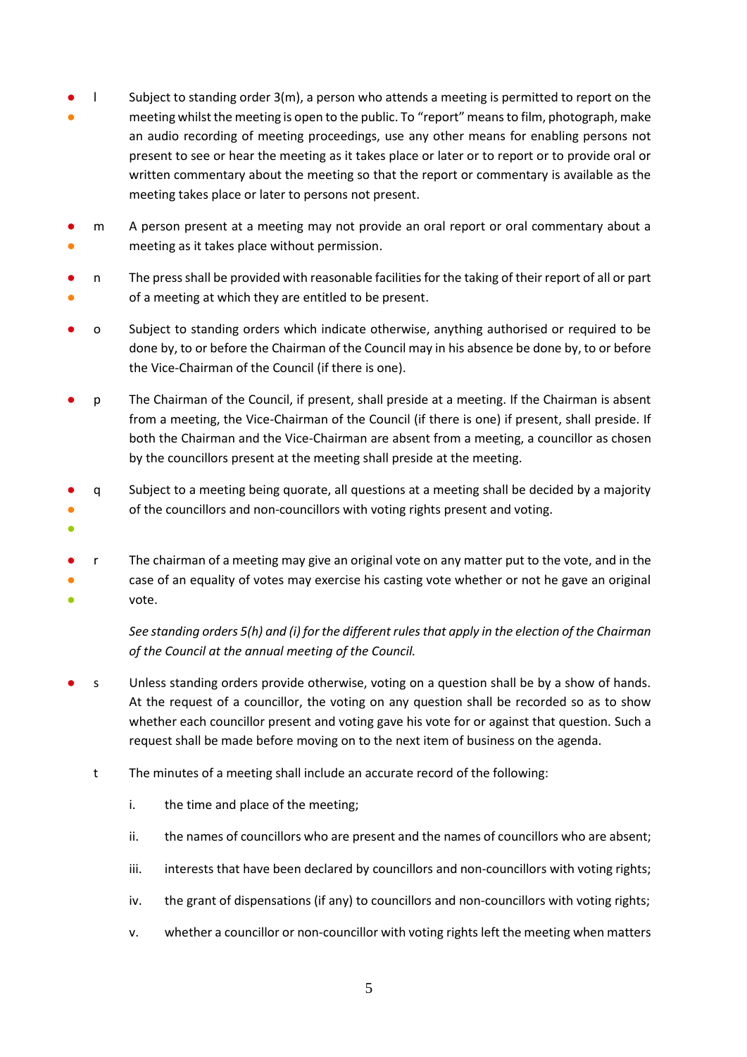- ● meeting whilst the meeting is open to the public. To "report" means to film, photograph, make Subject to standing order  $3(m)$ , a person who attends a meeting is permitted to report on the an audio recording of meeting proceedings, use any other means for enabling persons not present to see or hear the meeting as it takes place or later or to report or to provide oral or written commentary about the meeting so that the report or commentary is available as the meeting takes place or later to persons not present.
- $m$ ● meeting as it takes place without permission. A person present at a meeting may not provide an oral report or oral commentary about a
- $n$ ● of a meeting at which they are entitled to be present. n The press shall be provided with reasonable facilities for the taking of their report of all or part
- o Subject to standing orders which indicate otherwise, anything authorised or required to be done by, to or before the Chairman of the Council may in his absence be done by, to or before the Vice-Chairman of the Council (if there is one).
- p The Chairman of the Council, if present, shall preside at a meeting. If the Chairman is absent from a meeting, the Vice-Chairman of the Council (if there is one) if present, shall preside. If both the Chairman and the Vice-Chairman are absent from a meeting, a councillor as chosen by the councillors present at the meeting shall preside at the meeting.
- $\mathsf{q}$ ● of the councillors and non-councillors with voting rights present and voting. Subject to a meeting being quorate, all questions at a meeting shall be decided by a majority
- ●
- F The chairman of a meeting may give an original vote on any matter put to the vote, and in the ● case of an equality of votes may exercise his casting vote whether or not he gave an original ● vote.

*See standing orders 5(h) and (i) for the different rules that apply in the election of the Chairman of the Council at the annual meeting of the Council.*

- s Unless standing orders provide otherwise, voting on a question shall be by a show of hands. At the request of a councillor, the voting on any question shall be recorded so as to show whether each councillor present and voting gave his vote for or against that question. Such a request shall be made before moving on to the next item of business on the agenda.
	- t The minutes of a meeting shall include an accurate record of the following:
		- i. the time and place of the meeting;
		- ii. the names of councillors who are present and the names of councillors who are absent;
		- iii. interests that have been declared by councillors and non-councillors with voting rights;
		- iv. the grant of dispensations (if any) to councillors and non-councillors with voting rights;
		- v. whether a councillor or non-councillor with voting rights left the meeting when matters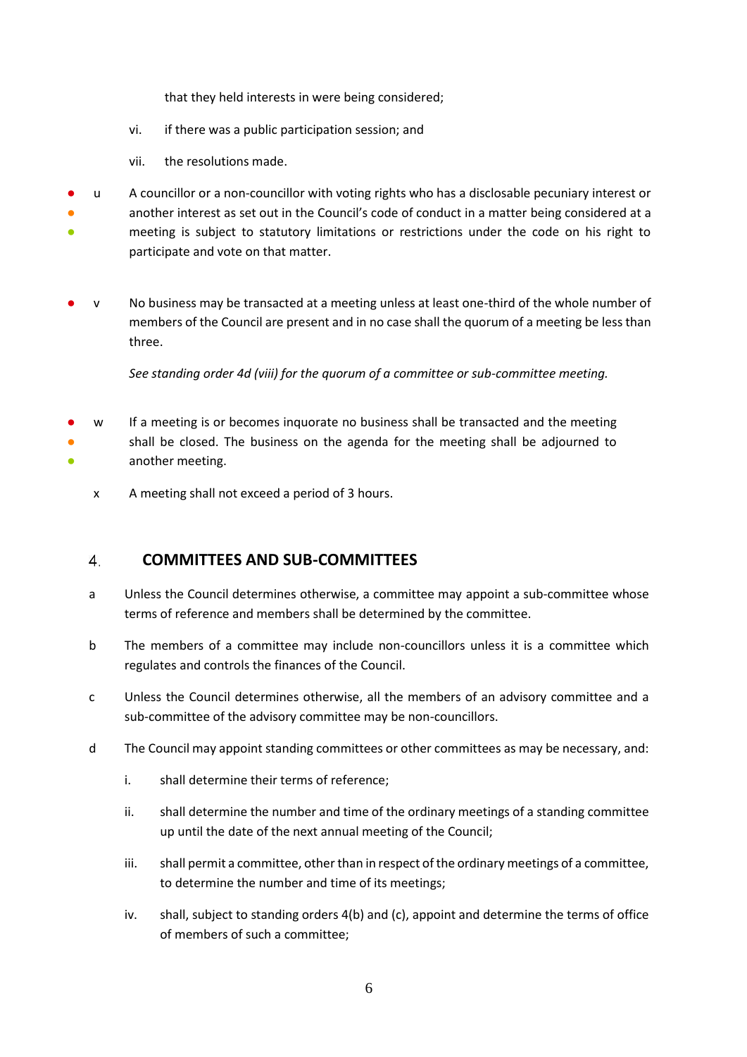that they held interests in were being considered;

- vi. if there was a public participation session; and
- vii. the resolutions made.
- u A councillor or a non-councillor with voting rights who has a disclosable pecuniary interest or **•** another interest as set out in the Council's code of conduct in a matter being considered at a ● meeting is subject to statutory limitations or restrictions under the code on his right to participate and vote on that matter.
- v No business may be transacted at a meeting unless at least one-third of the whole number of members of the Council are present and in no case shall the quorum of a meeting be less than three.

*See standing order 4d (viii) for the quorum of a committee or sub-committee meeting.*

- $\mathbf{w}$ ● shall be closed. The business on the agenda for the meeting shall be adjourned to ● If a meeting is or becomes inquorate no business shall be transacted and the meeting another meeting.
	- x A meeting shall not exceed a period of 3 hours.

#### **COMMITTEES AND SUB-COMMITTEES** 4.

- a Unless the Council determines otherwise, a committee may appoint a sub-committee whose terms of reference and members shall be determined by the committee.
- b The members of a committee may include non-councillors unless it is a committee which regulates and controls the finances of the Council.
- c Unless the Council determines otherwise, all the members of an advisory committee and a sub-committee of the advisory committee may be non-councillors.
- d The Council may appoint standing committees or other committees as may be necessary, and:
	- i. shall determine their terms of reference;
	- ii. shall determine the number and time of the ordinary meetings of a standing committee up until the date of the next annual meeting of the Council;
	- iii. shall permit a committee, other than in respect of the ordinary meetings of a committee, to determine the number and time of its meetings;
	- iv. shall, subject to standing orders 4(b) and (c), appoint and determine the terms of office of members of such a committee;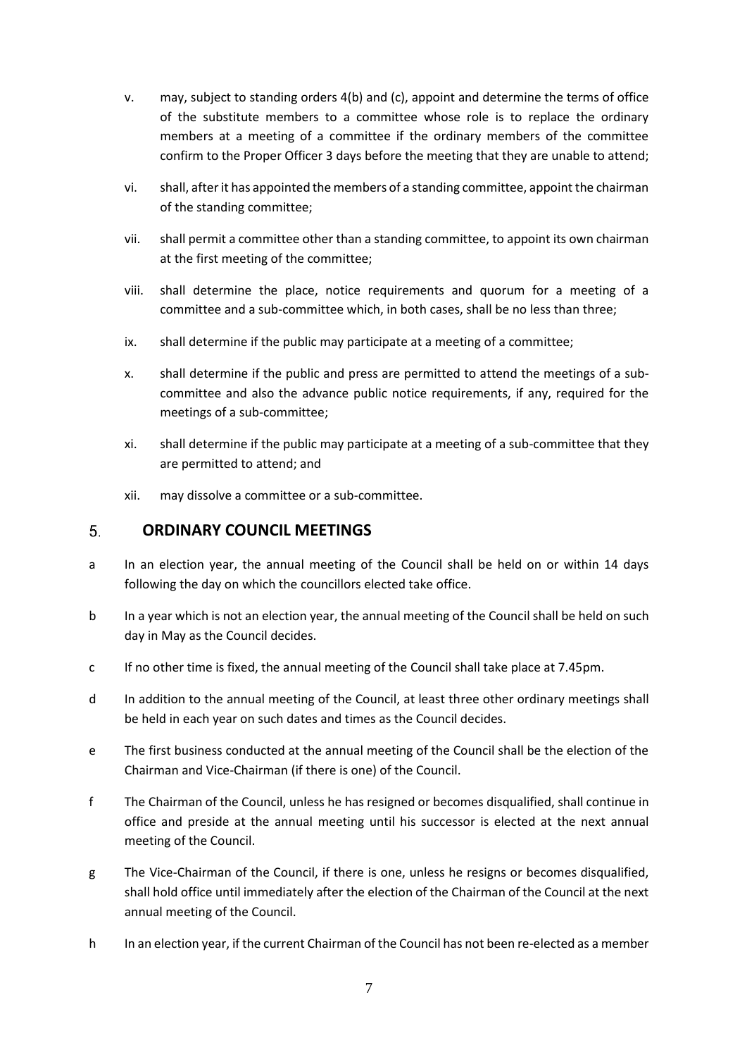- v. may, subject to standing orders 4(b) and (c), appoint and determine the terms of office of the substitute members to a committee whose role is to replace the ordinary members at a meeting of a committee if the ordinary members of the committee confirm to the Proper Officer 3 days before the meeting that they are unable to attend;
- vi. shall, after it has appointed the members of a standing committee, appoint the chairman of the standing committee;
- vii. shall permit a committee other than a standing committee, to appoint its own chairman at the first meeting of the committee;
- viii. shall determine the place, notice requirements and quorum for a meeting of a committee and a sub-committee which, in both cases, shall be no less than three;
- ix. shall determine if the public may participate at a meeting of a committee;
- x. shall determine if the public and press are permitted to attend the meetings of a sub committee and also the advance public notice requirements, if any, required for the meetings of a sub-committee;
- xi. shall determine if the public may participate at a meeting of a sub-committee that they are permitted to attend; and
- xii. may dissolve a committee or a sub-committee.

#### **ORDINARY COUNCIL MEETINGS** 5.

- a In an election year, the annual meeting of the Council shall be held on or within 14 days following the day on which the councillors elected take office.
- b In a year which is not an election year, the annual meeting of the Council shall be held on such day in May as the Council decides.
- c If no other time is fixed, the annual meeting of the Council shall take place at 7.45pm.
- d In addition to the annual meeting of the Council, at least three other ordinary meetings shall be held in each year on such dates and times as the Council decides.
- e The first business conducted at the annual meeting of the Council shall be the election of the Chairman and Vice-Chairman (if there is one) of the Council.
- f The Chairman of the Council, unless he has resigned or becomes disqualified, shall continue in office and preside at the annual meeting until his successor is elected at the next annual meeting of the Council.
- g The Vice-Chairman of the Council, if there is one, unless he resigns or becomes disqualified, shall hold office until immediately after the election of the Chairman of the Council at the next annual meeting of the Council.
- h In an election year, if the current Chairman of the Council has not been re-elected as a member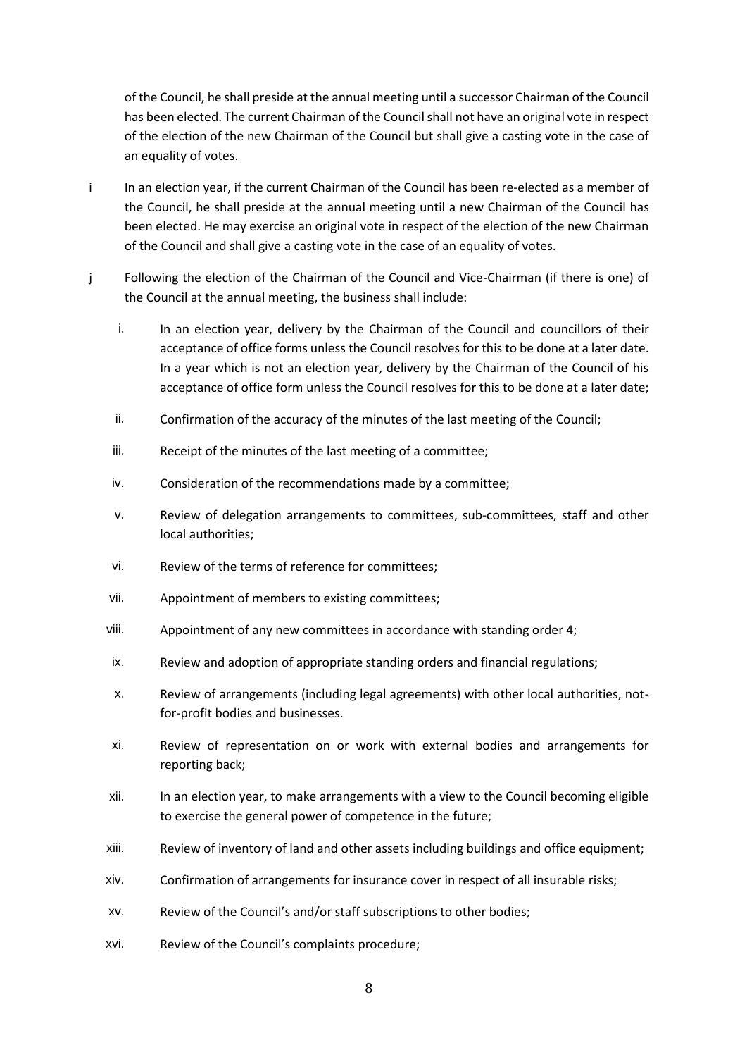of the Council, he shall preside at the annual meeting until a successor Chairman of the Council has been elected. The current Chairman of the Council shall not have an original vote in respect of the election of the new Chairman of the Council but shall give a casting vote in the case of an equality of votes.

- i In an election year, if the current Chairman of the Council has been re-elected as a member of the Council, he shall preside at the annual meeting until a new Chairman of the Council has been elected. He may exercise an original vote in respect of the election of the new Chairman of the Council and shall give a casting vote in the case of an equality of votes.
- j Following the election of the Chairman of the Council and Vice-Chairman (if there is one) of the Council at the annual meeting, the business shall include:
	- i. In an election year, delivery by the Chairman of the Council and councillors of their acceptance of office forms unless the Council resolves for this to be done at a later date. In a year which is not an election year, delivery by the Chairman of the Council of his acceptance of office form unless the Council resolves for this to be done at a later date;
	- ii. Confirmation of the accuracy of the minutes of the last meeting of the Council;
	- iii. Receipt of the minutes of the last meeting of a committee;
	- iv. Consideration of the recommendations made by a committee;
	- v. Review of delegation arrangements to committees, sub-committees, staff and other local authorities;
	- vi. Review of the terms of reference for committees;
	- vii. Appointment of members to existing committees;
	- viii. Appointment of any new committees in accordance with standing order 4;
	- ix. Review and adoption of appropriate standing orders and financial regulations;
	- x. Review of arrangements (including legal agreements) with other local authorities, notfor-profit bodies and businesses.
	- xi. Review of representation on or work with external bodies and arrangements for reporting back;
	- xii. In an election year, to make arrangements with a view to the Council becoming eligible to exercise the general power of competence in the future;
	- xiii. Review of inventory of land and other assets including buildings and office equipment;
	- xiv. Confirmation of arrangements for insurance cover in respect of all insurable risks;
	- xv. Review of the Council's and/or staff subscriptions to other bodies;
	- xvi. Review of the Council's complaints procedure;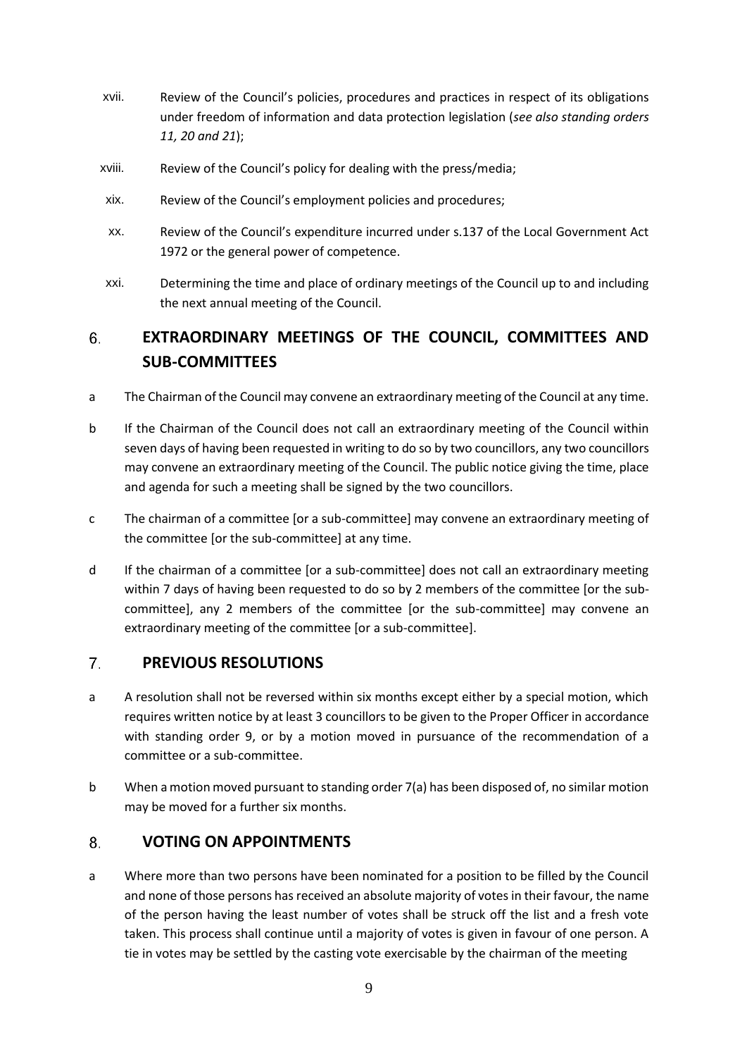- xvii. Review of the Council's policies, procedures and practices in respect of its obligations under freedom of information and data protection legislation (*see also standing orders 11, 20 and 21*);
- xviii. Review of the Council's policy for dealing with the press/media;
- xix. Review of the Council's employment policies and procedures;
- xx. Review of the Council's expenditure incurred under s.137 of the Local Government Act 1972 or the general power of competence.
- xxi. Determining the time and place of ordinary meetings of the Council up to and including the next annual meeting of the Council.

# 6. **EXTRAORDINARY MEETINGS OF THE COUNCIL, COMMITTEES AND SUB-COMMITTEES**

- a The Chairman of the Council may convene an extraordinary meeting of the Council at any time.
- b If the Chairman of the Council does not call an extraordinary meeting of the Council within seven days of having been requested in writing to do so by two councillors, any two councillors may convene an extraordinary meeting of the Council. The public notice giving the time, place and agenda for such a meeting shall be signed by the two councillors.
- c The chairman of a committee [or a sub-committee] may convene an extraordinary meeting of the committee [or the sub-committee] at any time.
- d If the chairman of a committee [or a sub-committee] does not call an extraordinary meeting within 7 days of having been requested to do so by 2 members of the committee [or the sub committee], any 2 members of the committee [or the sub-committee] may convene an extraordinary meeting of the committee [or a sub-committee].

# 7. **PREVIOUS RESOLUTIONS**

- a A resolution shall not be reversed within six months except either by a special motion, which requires written notice by at least 3 councillors to be given to the Proper Officer in accordance with standing order 9, or by a motion moved in pursuance of the recommendation of a committee or a sub-committee.
- b When a motion moved pursuant to standing order 7(a) has been disposed of, no similar motion may be moved for a further six months.

# **VOTING ON APPOINTMENTS** 8.

a Where more than two persons have been nominated for a position to be filled by the Council and none of those persons has received an absolute majority of votes in their favour, the name of the person having the least number of votes shall be struck off the list and a fresh vote taken. This process shall continue until a majority of votes is given in favour of one person. A tie in votes may be settled by the casting vote exercisable by the chairman of the meeting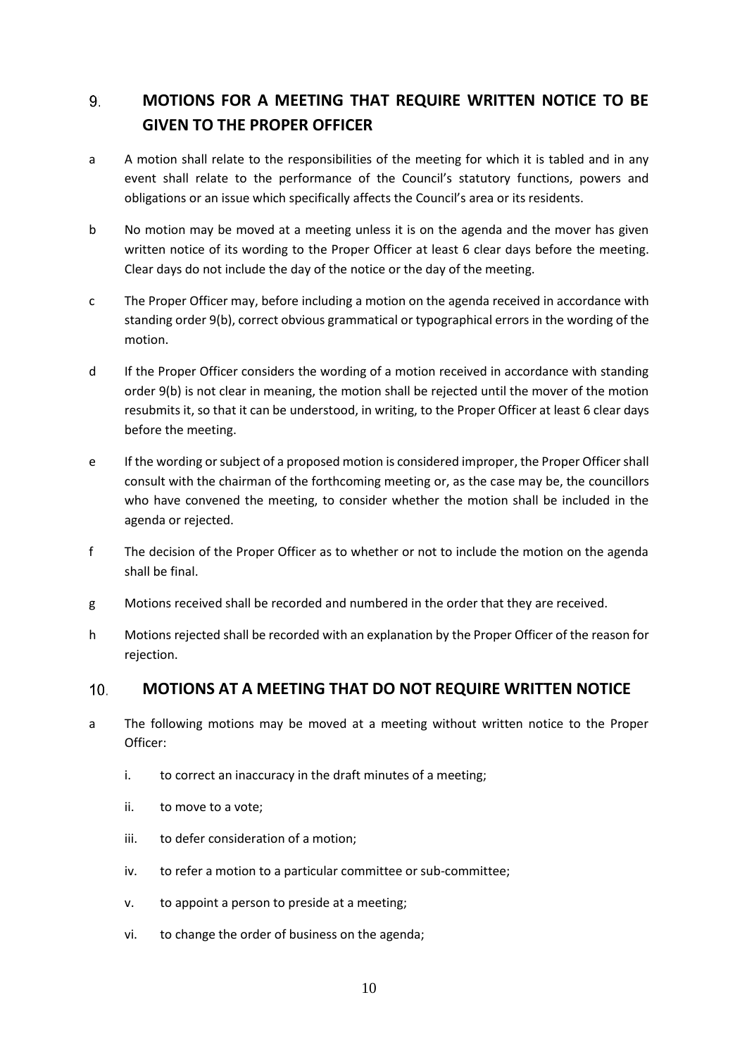# 9. **MOTIONS FOR A MEETING THAT REQUIRE WRITTEN NOTICE TO BE GIVEN TO THE PROPER OFFICER**

- a A motion shall relate to the responsibilities of the meeting for which it is tabled and in any event shall relate to the performance of the Council's statutory functions, powers and obligations or an issue which specifically affects the Council's area or its residents.
- b No motion may be moved at a meeting unless it is on the agenda and the mover has given written notice of its wording to the Proper Officer at least 6 clear days before the meeting. Clear days do not include the day of the notice or the day of the meeting.
- c The Proper Officer may, before including a motion on the agenda received in accordance with standing order 9(b), correct obvious grammatical or typographical errors in the wording of the motion.
- d If the Proper Officer considers the wording of a motion received in accordance with standing order 9(b) is not clear in meaning, the motion shall be rejected until the mover of the motion resubmits it, so that it can be understood, in writing, to the Proper Officer at least 6 clear days before the meeting.
- e If the wording or subject of a proposed motion is considered improper, the Proper Officer shall consult with the chairman of the forthcoming meeting or, as the case may be, the councillors who have convened the meeting, to consider whether the motion shall be included in the agenda or rejected.
- f The decision of the Proper Officer as to whether or not to include the motion on the agenda shall be final.
- g Motions received shall be recorded and numbered in the order that they are received.
- h Motions rejected shall be recorded with an explanation by the Proper Officer of the reason for rejection.

#### $10.$ **MOTIONS AT A MEETING THAT DO NOT REQUIRE WRITTEN NOTICE**

- a The following motions may be moved at a meeting without written notice to the Proper Officer:
	- i. to correct an inaccuracy in the draft minutes of a meeting;
	- ii. to move to a vote;
	- iii. to defer consideration of a motion;
	- iv. to refer a motion to a particular committee or sub-committee;
	- v. to appoint a person to preside at a meeting;
	- vi. to change the order of business on the agenda;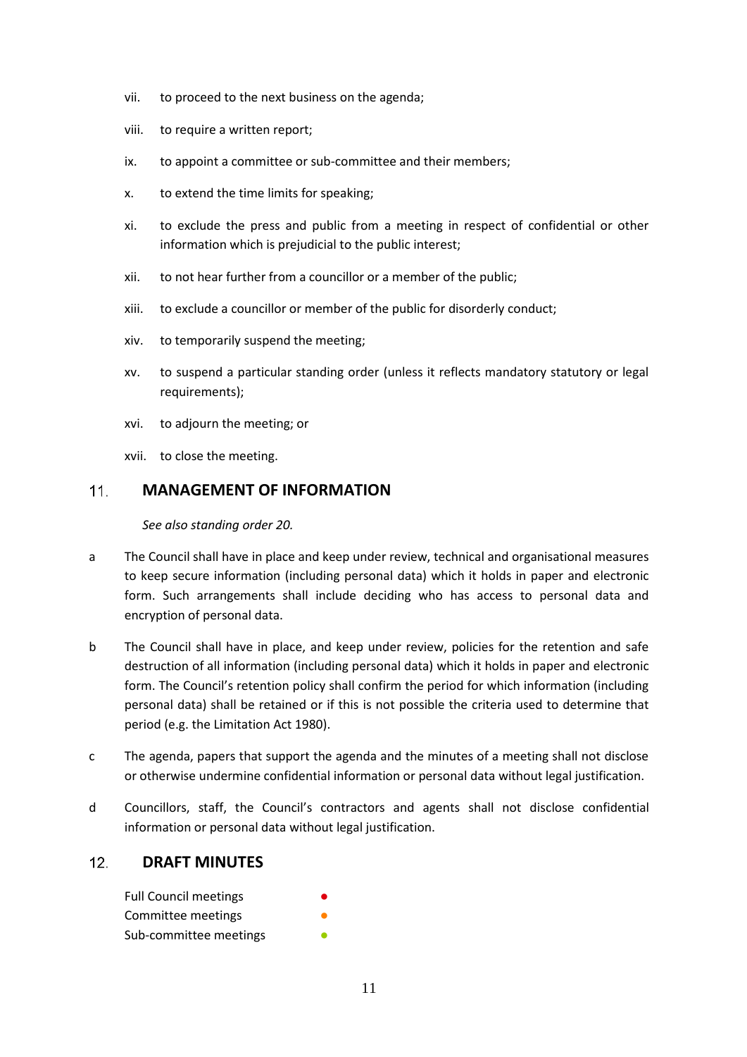- vii. to proceed to the next business on the agenda;
- viii. to require a written report;
- ix. to appoint a committee or sub-committee and their members;
- x. to extend the time limits for speaking;
- xi. to exclude the press and public from a meeting in respect of confidential or other information which is prejudicial to the public interest;
- xii. to not hear further from a councillor or a member of the public;
- xiii. to exclude a councillor or member of the public for disorderly conduct;
- xiv. to temporarily suspend the meeting;
- xv. to suspend a particular standing order (unless it reflects mandatory statutory or legal requirements);
- xvi. to adjourn the meeting; or
- xvii. to close the meeting.

#### $11<sub>1</sub>$ **MANAGEMENT OF INFORMATION**

*See also standing order 20.*

- a The Council shall have in place and keep under review, technical and organisational measures to keep secure information (including personal data) which it holds in paper and electronic form. Such arrangements shall include deciding who has access to personal data and encryption of personal data.
- b The Council shall have in place, and keep under review, policies for the retention and safe destruction of all information (including personal data) which it holds in paper and electronic form. The Council's retention policy shall confirm the period for which information (including personal data) shall be retained or if this is not possible the criteria used to determine that period (e.g. the Limitation Act 1980).
- c The agenda, papers that support the agenda and the minutes of a meeting shall not disclose or otherwise undermine confidential information or personal data without legal justification.
- d Councillors, staff, the Council's contractors and agents shall not disclose confidential information or personal data without legal justification.

#### **DRAFT MINUTES**  $12.$

| <b>Full Council meetings</b> |  |
|------------------------------|--|
| Committee meetings           |  |
| Sub-committee meetings       |  |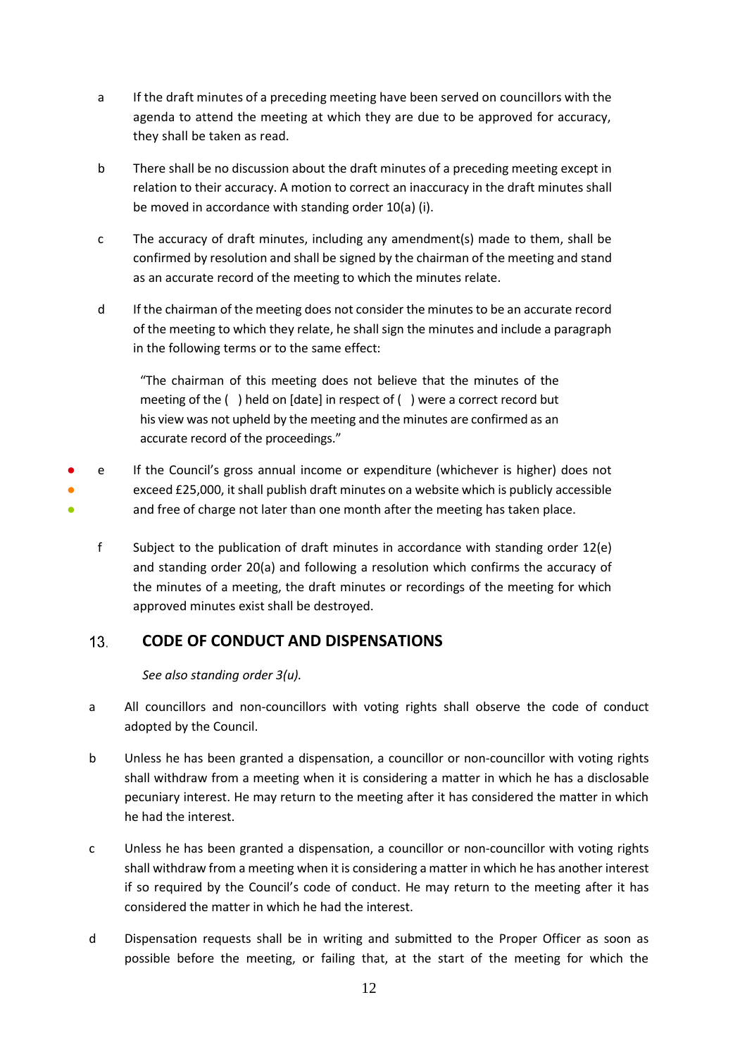- a If the draft minutes of a preceding meeting have been served on councillors with the agenda to attend the meeting at which they are due to be approved for accuracy, they shall be taken as read.
- b There shall be no discussion about the draft minutes of a preceding meeting except in relation to their accuracy. A motion to correct an inaccuracy in the draft minutes shall be moved in accordance with standing order 10(a) (i).
- c The accuracy of draft minutes, including any amendment(s) made to them, shall be confirmed by resolution and shall be signed by the chairman of the meeting and stand as an accurate record of the meeting to which the minutes relate.
- d If the chairman of the meeting does not consider the minutes to be an accurate record of the meeting to which they relate, he shall sign the minutes and include a paragraph in the following terms or to the same effect:

"The chairman of this meeting does not believe that the minutes of the meeting of the ( ) held on [date] in respect of ( ) were a correct record but his view was not upheld by the meeting and the minutes are confirmed as an accurate record of the proceedings."

- ● ● If the Council's gross annual income or expenditure (whichever is higher) does not exceed £25,000, it shall publish draft minutes on a website which is publicly accessible and free of charge not later than one month after the meeting has taken place.
	- f Subject to the publication of draft minutes in accordance with standing order 12(e) and standing order 20(a) and following a resolution which confirms the accuracy of the minutes of a meeting, the draft minutes or recordings of the meeting for which approved minutes exist shall be destroyed.

# $13<sub>1</sub>$ **CODE OF CONDUCT AND DISPENSATIONS**

*See also standing order 3(u).*

- a All councillors and non-councillors with voting rights shall observe the code of conduct adopted by the Council.
- b Unless he has been granted a dispensation, a councillor or non-councillor with voting rights shall withdraw from a meeting when it is considering a matter in which he has a disclosable pecuniary interest. He may return to the meeting after it has considered the matter in which he had the interest.
- c Unless he has been granted a dispensation, a councillor or non-councillor with voting rights shall withdraw from a meeting when it is considering a matter in which he has another interest if so required by the Council's code of conduct. He may return to the meeting after it has considered the matter in which he had the interest.
- d Dispensation requests shall be in writing and submitted to the Proper Officer as soon as possible before the meeting, or failing that, at the start of the meeting for which the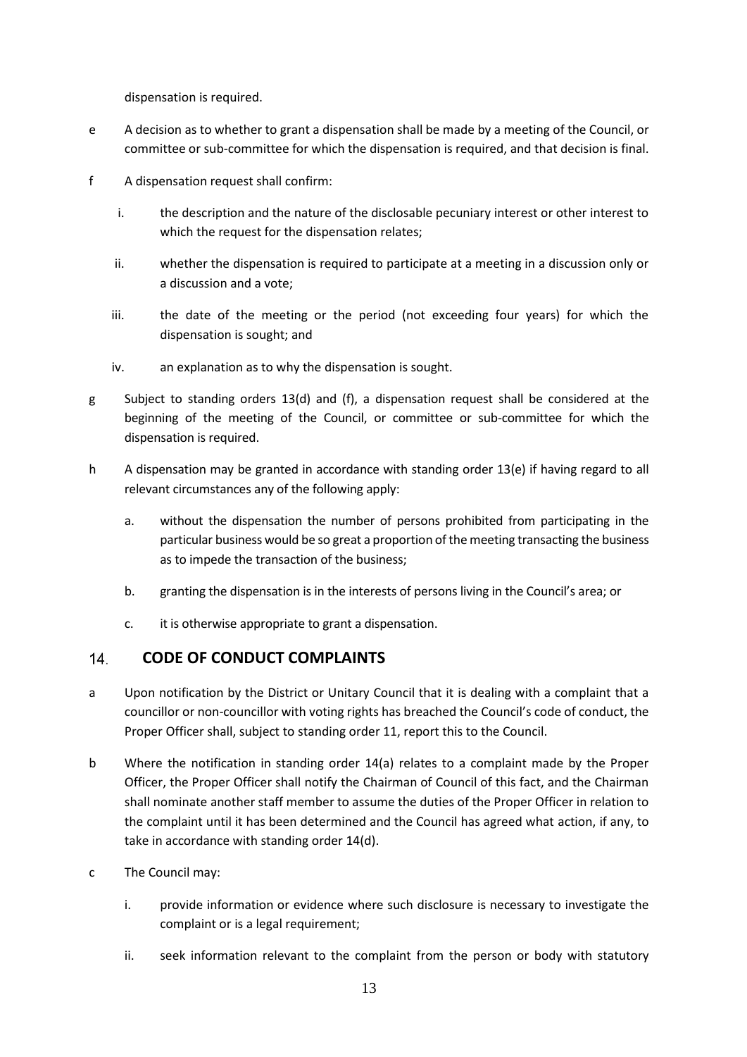dispensation is required.

- e A decision as to whether to grant a dispensation shall be made by a meeting of the Council, or committee or sub-committee for which the dispensation is required, and that decision is final.
- f A dispensation request shall confirm:
	- i. the description and the nature of the disclosable pecuniary interest or other interest to which the request for the dispensation relates:
	- ii. whether the dispensation is required to participate at a meeting in a discussion only or a discussion and a vote;
	- iii. the date of the meeting or the period (not exceeding four years) for which the dispensation is sought; and
	- iv. an explanation as to why the dispensation is sought.
- g Subject to standing orders 13(d) and (f), a dispensation request shall be considered at the beginning of the meeting of the Council, or committee or sub-committee for which the dispensation is required.
- h A dispensation may be granted in accordance with standing order 13(e) if having regard to all relevant circumstances any of the following apply:
	- a. without the dispensation the number of persons prohibited from participating in the particular business would be so great a proportion of the meeting transacting the business as to impede the transaction of the business;
	- b. granting the dispensation is in the interests of persons living in the Council's area; or
	- c. it is otherwise appropriate to grant a dispensation.

#### $14$ **CODE OF CONDUCT COMPLAINTS**

- a Upon notification by the District or Unitary Council that it is dealing with a complaint that a councillor or non-councillor with voting rights has breached the Council's code of conduct, the Proper Officer shall, subject to standing order 11, report this to the Council.
- b Where the notification in standing order 14(a) relates to a complaint made by the Proper Officer, the Proper Officer shall notify the Chairman of Council of this fact, and the Chairman shall nominate another staff member to assume the duties of the Proper Officer in relation to the complaint until it has been determined and the Council has agreed what action, if any, to take in accordance with standing order 14(d).
- c The Council may:
	- i. provide information or evidence where such disclosure is necessary to investigate the complaint or is a legal requirement;
	- ii. seek information relevant to the complaint from the person or body with statutory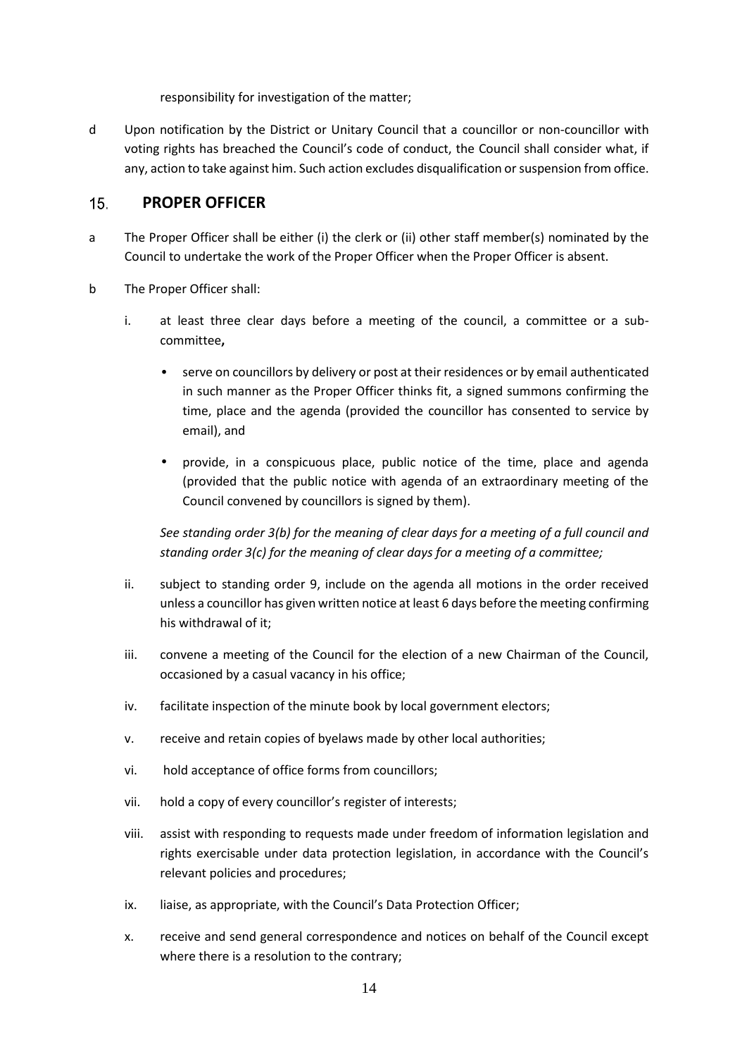responsibility for investigation of the matter;

d Upon notification by the District or Unitary Council that a councillor or non-councillor with voting rights has breached the Council's code of conduct, the Council shall consider what, if any, action to take against him. Such action excludes disqualification or suspension from office.

#### $15.$ **PROPER OFFICER**

- a The Proper Officer shall be either (i) the clerk or (ii) other staff member(s) nominated by the Council to undertake the work of the Proper Officer when the Proper Officer is absent.
- b The Proper Officer shall:
	- i. at least three clear days before a meeting of the council, a committee or a sub committee**,**
		- serve on councillors by delivery or post at their residences or by email authenticated in such manner as the Proper Officer thinks fit, a signed summons confirming the time, place and the agenda (provided the councillor has consented to service by email), and
		- provide, in a conspicuous place, public notice of the time, place and agenda (provided that the public notice with agenda of an extraordinary meeting of the Council convened by councillors is signed by them).

*See standing order 3(b) for the meaning of clear days for a meeting of a full council and standing order 3(c) for the meaning of clear days for a meeting of a committee;*

- ii. subject to standing order 9, include on the agenda all motions in the order received unless a councillor has given written notice at least 6 days before the meeting confirming his withdrawal of it;
- iii. convene a meeting of the Council for the election of a new Chairman of the Council, occasioned by a casual vacancy in his office;
- iv. facilitate inspection of the minute book by local government electors;
- v. receive and retain copies of byelaws made by other local authorities;
- vi. hold acceptance of office forms from councillors;
- vii. hold a copy of every councillor's register of interests;
- viii. assist with responding to requests made under freedom of information legislation and rights exercisable under data protection legislation, in accordance with the Council's relevant policies and procedures;
- ix. liaise, as appropriate, with the Council's Data Protection Officer;
- x. receive and send general correspondence and notices on behalf of the Council except where there is a resolution to the contrary;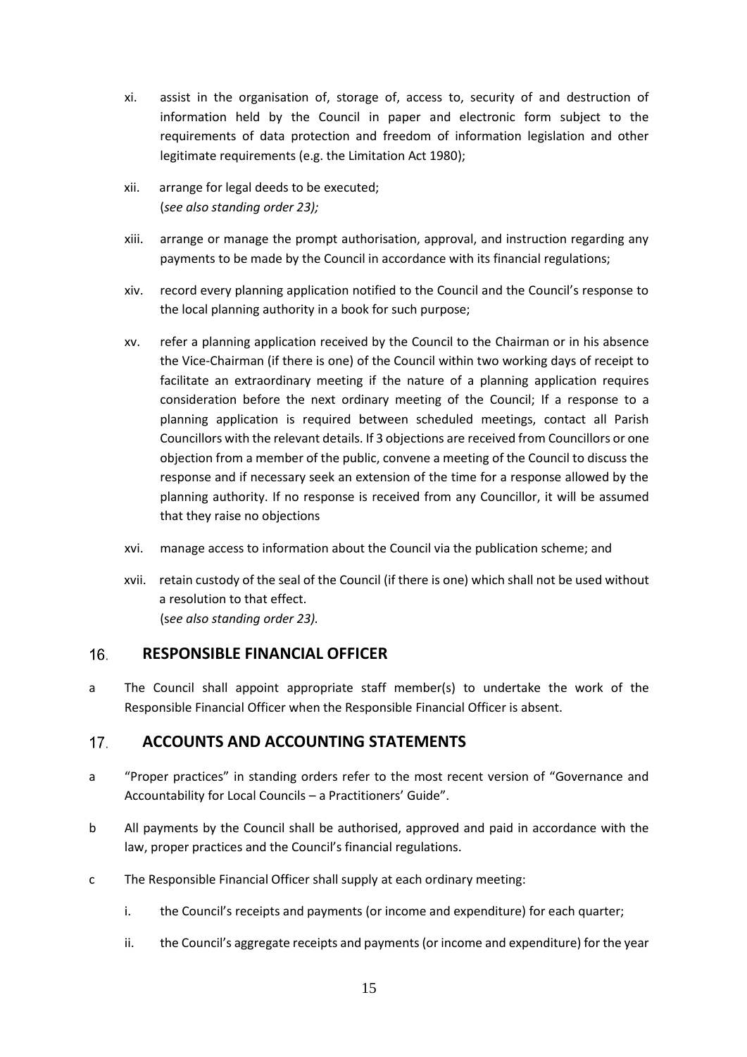- xi. assist in the organisation of, storage of, access to, security of and destruction of information held by the Council in paper and electronic form subject to the requirements of data protection and freedom of information legislation and other legitimate requirements (e.g. the Limitation Act 1980);
- xii. arrange for legal deeds to be executed; (*see also standing order 23);*
- xiii. arrange or manage the prompt authorisation, approval, and instruction regarding any payments to be made by the Council in accordance with its financial regulations;
- xiv. record every planning application notified to the Council and the Council's response to the local planning authority in a book for such purpose;
- xv. refer a planning application received by the Council to the Chairman or in his absence the Vice-Chairman (if there is one) of the Council within two working days of receipt to facilitate an extraordinary meeting if the nature of a planning application requires consideration before the next ordinary meeting of the Council; If a response to a planning application is required between scheduled meetings, contact all Parish Councillors with the relevant details. If 3 objections are received from Councillors or one objection from a member of the public, convene a meeting of the Council to discuss the response and if necessary seek an extension of the time for a response allowed by the planning authority. If no response is received from any Councillor, it will be assumed that they raise no objections
- xvi. manage access to information about the Council via the publication scheme; and
- xvii. retain custody of the seal of the Council (if there is one) which shall not be used without a resolution to that effect. (s*ee also standing order 23).*

# $16.$ **RESPONSIBLE FINANCIAL OFFICER**

a The Council shall appoint appropriate staff member(s) to undertake the work of the Responsible Financial Officer when the Responsible Financial Officer is absent.

# $17.$ **ACCOUNTS AND ACCOUNTING STATEMENTS**

- a "Proper practices" in standing orders refer to the most recent version of "Governance and Accountability for Local Councils – a Practitioners' Guide".
- b All payments by the Council shall be authorised, approved and paid in accordance with the law, proper practices and the Council's financial regulations.
- c The Responsible Financial Officer shall supply at each ordinary meeting:
	- i. the Council's receipts and payments (or income and expenditure) for each quarter;
	- ii. the Council's aggregate receipts and payments (or income and expenditure) for the year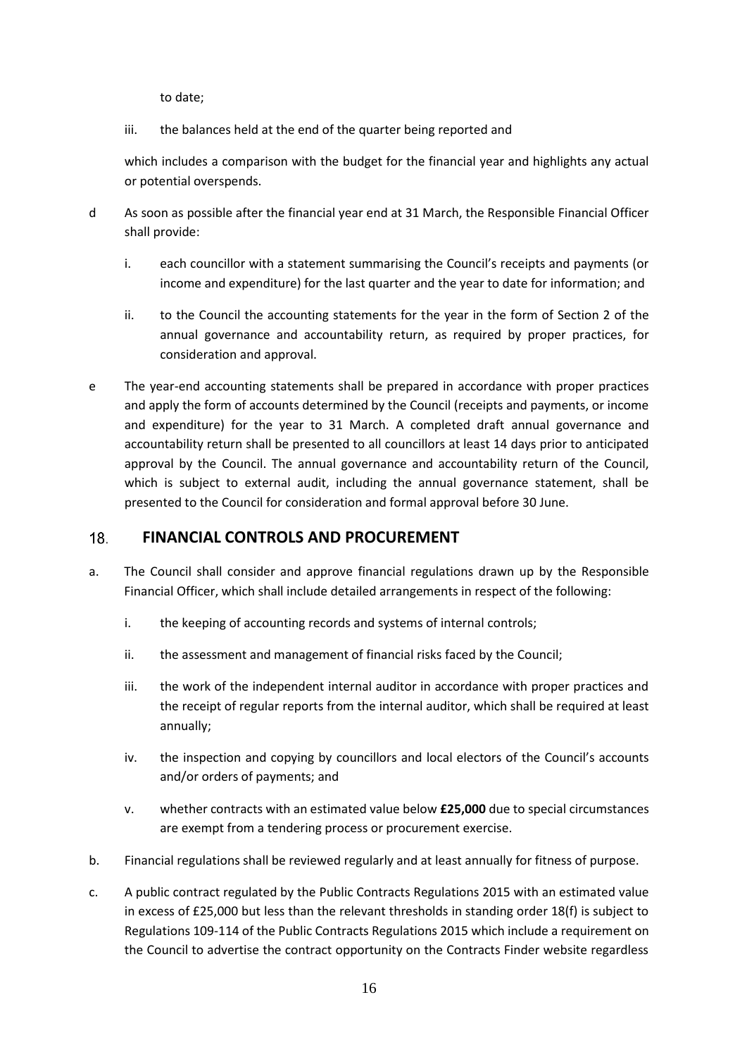to date;

iii. the balances held at the end of the quarter being reported and

which includes a comparison with the budget for the financial year and highlights any actual or potential overspends.

- d As soon as possible after the financial year end at 31 March, the Responsible Financial Officer shall provide:
	- i. each councillor with a statement summarising the Council's receipts and payments (or income and expenditure) for the last quarter and the year to date for information; and
	- ii. to the Council the accounting statements for the year in the form of Section 2 of the annual governance and accountability return, as required by proper practices, for consideration and approval.
- e The year-end accounting statements shall be prepared in accordance with proper practices and apply the form of accounts determined by the Council (receipts and payments, or income and expenditure) for the year to 31 March. A completed draft annual governance and accountability return shall be presented to all councillors at least 14 days prior to anticipated approval by the Council. The annual governance and accountability return of the Council, which is subject to external audit, including the annual governance statement, shall be presented to the Council for consideration and formal approval before 30 June.

# $18.$ **FINANCIAL CONTROLS AND PROCUREMENT**

- a. The Council shall consider and approve financial regulations drawn up by the Responsible Financial Officer, which shall include detailed arrangements in respect of the following:
	- i. the keeping of accounting records and systems of internal controls;
	- ii. the assessment and management of financial risks faced by the Council;
	- iii. the work of the independent internal auditor in accordance with proper practices and the receipt of regular reports from the internal auditor, which shall be required at least annually;
	- iv. the inspection and copying by councillors and local electors of the Council's accounts and/or orders of payments; and
	- v. whether contracts with an estimated value below **£25,000** due to special circumstances are exempt from a tendering process or procurement exercise.
- b. Financial regulations shall be reviewed regularly and at least annually for fitness of purpose.
- c. A public contract regulated by the Public Contracts Regulations 2015 with an estimated value in excess of £25,000 but less than the relevant thresholds in standing order 18(f) is subject to Regulations 109-114 of the Public Contracts Regulations 2015 which include a requirement on the Council to advertise the contract opportunity on the Contracts Finder website regardless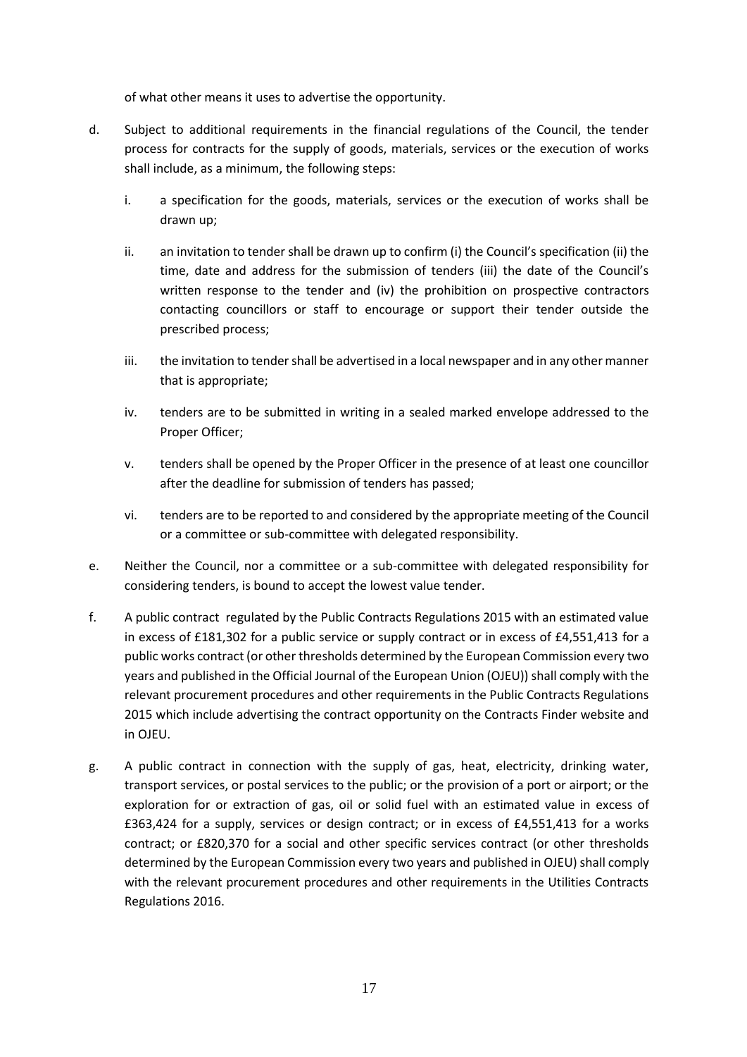of what other means it uses to advertise the opportunity.

- d. Subject to additional requirements in the financial regulations of the Council, the tender process for contracts for the supply of goods, materials, services or the execution of works shall include, as a minimum, the following steps:
	- i. a specification for the goods, materials, services or the execution of works shall be drawn up;
	- ii. an invitation to tender shall be drawn up to confirm (i) the Council's specification (ii) the time, date and address for the submission of tenders (iii) the date of the Council's written response to the tender and (iv) the prohibition on prospective contractors contacting councillors or staff to encourage or support their tender outside the prescribed process;
	- iii. the invitation to tender shall be advertised in a local newspaper and in any other manner that is appropriate;
	- iv. tenders are to be submitted in writing in a sealed marked envelope addressed to the Proper Officer;
	- v. tenders shall be opened by the Proper Officer in the presence of at least one councillor after the deadline for submission of tenders has passed;
	- vi. tenders are to be reported to and considered by the appropriate meeting of the Council or a committee or sub-committee with delegated responsibility.
- e. Neither the Council, nor a committee or a sub-committee with delegated responsibility for considering tenders, is bound to accept the lowest value tender.
- f. A public contract regulated by the Public Contracts Regulations 2015 with an estimated value in excess of £181,302 for a public service or supply contract or in excess of £4,551,413 for a public works contract (or other thresholds determined by the European Commission every two years and published in the Official Journal of the European Union (OJEU)) shall comply with the relevant procurement procedures and other requirements in the Public Contracts Regulations 2015 which include advertising the contract opportunity on the Contracts Finder website and in OJEU.
- g. A public contract in connection with the supply of gas, heat, electricity, drinking water, transport services, or postal services to the public; or the provision of a port or airport; or the exploration for or extraction of gas, oil or solid fuel with an estimated value in excess of £363,424 for a supply, services or design contract; or in excess of £4,551,413 for a works contract; or £820,370 for a social and other specific services contract (or other thresholds determined by the European Commission every two years and published in OJEU) shall comply with the relevant procurement procedures and other requirements in the Utilities Contracts Regulations 2016.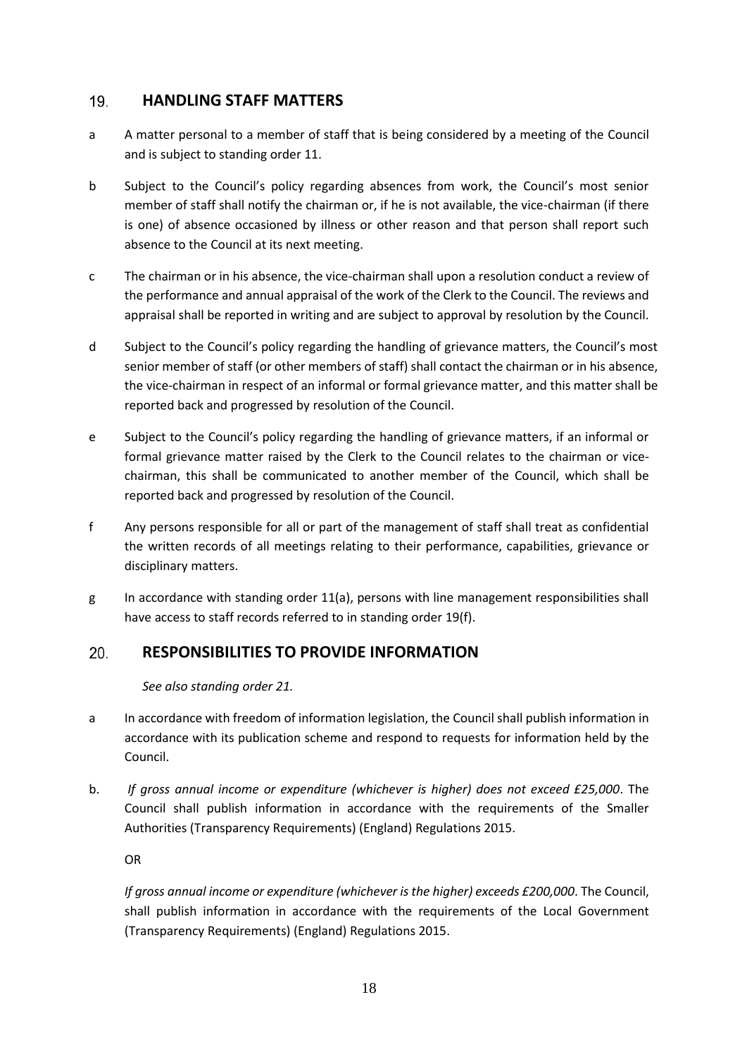# **HANDLING STAFF MATTERS** 19.

- a A matter personal to a member of staff that is being considered by a meeting of the Council and is subject to standing order 11.
- b Subject to the Council's policy regarding absences from work, the Council's most senior member of staff shall notify the chairman or, if he is not available, the vice-chairman (if there is one) of absence occasioned by illness or other reason and that person shall report such absence to the Council at its next meeting.
- c The chairman or in his absence, the vice-chairman shall upon a resolution conduct a review of the performance and annual appraisal of the work of the Clerk to the Council. The reviews and appraisal shall be reported in writing and are subject to approval by resolution by the Council.
- d Subject to the Council's policy regarding the handling of grievance matters, the Council's most senior member of staff (or other members of staff) shall contact the chairman or in his absence, the vice-chairman in respect of an informal or formal grievance matter, and this matter shall be reported back and progressed by resolution of the Council.
- e Subject to the Council's policy regarding the handling of grievance matters, if an informal or formal grievance matter raised by the Clerk to the Council relates to the chairman or vice chairman, this shall be communicated to another member of the Council, which shall be reported back and progressed by resolution of the Council.
- f Any persons responsible for all or part of the management of staff shall treat as confidential the written records of all meetings relating to their performance, capabilities, grievance or disciplinary matters.
- g In accordance with standing order 11(a), persons with line management responsibilities shall have access to staff records referred to in standing order 19(f).

# 20. **RESPONSIBILITIES TO PROVIDE INFORMATION**

*See also standing order 21.*

- a In accordance with freedom of information legislation, the Council shall publish information in accordance with its publication scheme and respond to requests for information held by the Council.
- b. *If gross annual income or expenditure (whichever is higher) does not exceed £25,000*. The Council shall publish information in accordance with the requirements of the Smaller Authorities (Transparency Requirements) (England) Regulations 2015.

OR

*If gross annual income or expenditure (whichever is the higher) exceeds £200,000*. The Council, shall publish information in accordance with the requirements of the Local Government (Transparency Requirements) (England) Regulations 2015.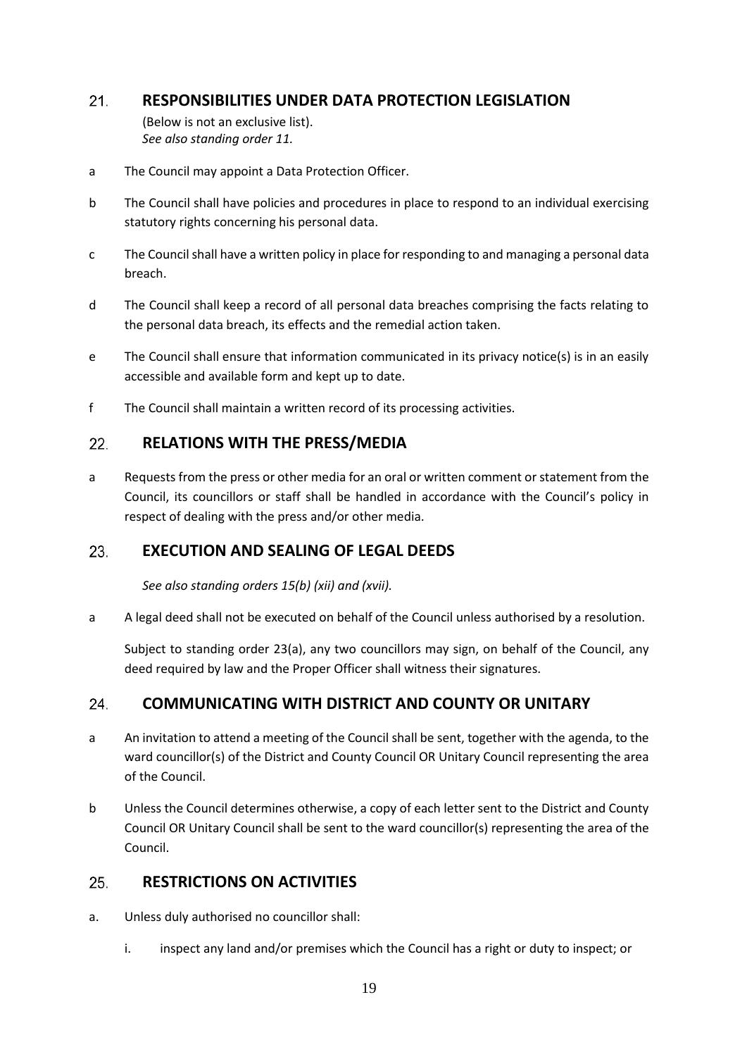# $21.$ **RESPONSIBILITIES UNDER DATA PROTECTION LEGISLATION**

(Below is not an exclusive list). *See also standing order 11.*

- a The Council may appoint a Data Protection Officer.
- b The Council shall have policies and procedures in place to respond to an individual exercising statutory rights concerning his personal data.
- c The Council shall have a written policy in place for responding to and managing a personal data breach.
- d The Council shall keep a record of all personal data breaches comprising the facts relating to the personal data breach, its effects and the remedial action taken.
- e The Council shall ensure that information communicated in its privacy notice(s) is in an easily accessible and available form and kept up to date.
- f The Council shall maintain a written record of its processing activities.

# $22.$ **RELATIONS WITH THE PRESS/MEDIA**

a Requests from the press or other media for an oral or written comment or statement from the Council, its councillors or staff shall be handled in accordance with the Council's policy in respect of dealing with the press and/or other media.

#### **EXECUTION AND SEALING OF LEGAL DEEDS** 23.

*See also standing orders 15(b) (xii) and (xvii).*

a A legal deed shall not be executed on behalf of the Council unless authorised by a resolution.

Subject to standing order 23(a), any two councillors may sign, on behalf of the Council, any deed required by law and the Proper Officer shall witness their signatures.

# **COMMUNICATING WITH DISTRICT AND COUNTY OR UNITARY** 24.

- a An invitation to attend a meeting of the Council shall be sent, together with the agenda, to the ward councillor(s) of the District and County Council OR Unitary Council representing the area of the Council.
- b Unless the Council determines otherwise, a copy of each letter sent to the District and County Council OR Unitary Council shall be sent to the ward councillor(s) representing the area of the Council.

#### **RESTRICTIONS ON ACTIVITIES** 25.

- a. Unless duly authorised no councillor shall:
	- i. inspect any land and/or premises which the Council has a right or duty to inspect; or